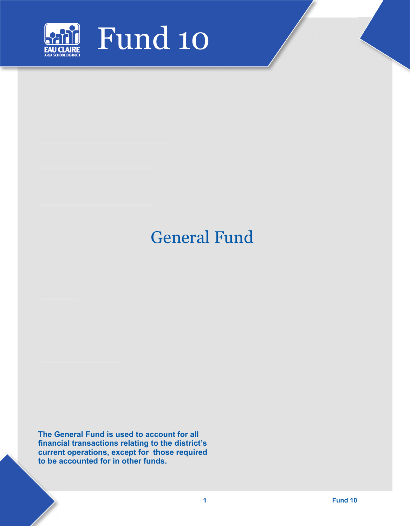

## General Fund

**The General Fund is used to account for all financial transactions relating to the district's current operations, except for those required to be accounted for in other funds.**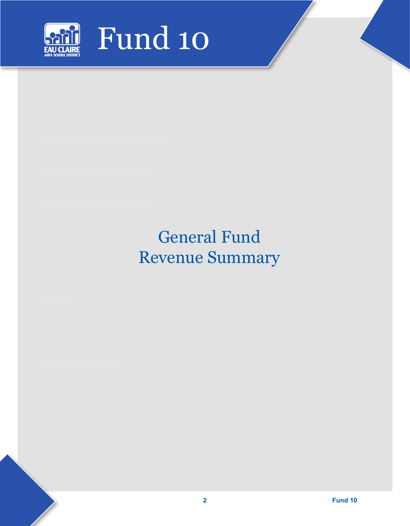

# General Fund Revenue Summary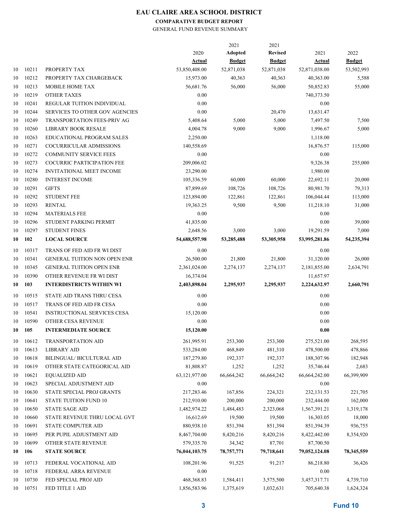## **COMPARATIVE BUDGET REPORT**

GENERAL FUND REVENUE SUMMARY

|    |          |                                       |               | 2021          | 2021           |               |               |
|----|----------|---------------------------------------|---------------|---------------|----------------|---------------|---------------|
|    |          |                                       | 2020          | Adopted       | <b>Revised</b> | 2021          | 2022          |
|    |          |                                       | <b>Actual</b> | <b>Budget</b> | <b>Budget</b>  | <b>Actual</b> | <b>Budget</b> |
| 10 | 10211    | PROPERTY TAX                          | 53,850,408.00 | 52,871,038    | 52,871,038     | 52,871,038.00 | 53,502,993    |
| 10 | 10212    | PROPERTY TAX CHARGEBACK               | 15,973.00     | 40,363        | 40,363         | 40,363.00     | 5,588         |
| 10 | 10213    | <b>MOBILE HOME TAX</b>                | 56,681.76     | 56,000        | 56,000         | 50,852.83     | 55,000        |
| 10 | 10219    | <b>OTHER TAXES</b>                    | 0.00          |               |                | 740,373.50    |               |
| 10 | 10241    | REGULAR TUITION INDIVIDUAL            | 0.00          |               |                | 0.00          |               |
| 10 | 10244    | <b>SERVICES TO OTHER GOV AGENCIES</b> | 0.00          |               | 20,470         | 13,631.47     |               |
| 10 | 10249    | <b>TRANSPORTATION FEES-PRIV AG</b>    | 5,408.64      | 5,000         | 5,000          | 7,497.50      | 7,500         |
| 10 | 10260    | <b>LIBRARY BOOK RESALE</b>            | 4,004.78      | 9,000         | 9,000          | 1,996.67      | 5,000         |
| 10 | 10263    | <b>EDUCATIONAL PROGRAM SALES</b>      | 2,250.00      |               |                | 1,118.00      |               |
| 10 | 10271    | COCURRICULAR ADMISSIONS               | 140,558.69    |               |                | 16,876.57     | 115,000       |
| 10 | 10272    | <b>COMMUNITY SERVICE FEES</b>         | 0.00          |               |                | 0.00          |               |
| 10 | 10273    | <b>COCURRIC PARTICIPATION FEE</b>     | 209,006.02    |               |                | 9,326.38      | 255,000       |
| 10 | 10274    | <b>INVITATIONAL MEET INCOME</b>       | 23,290.00     |               |                | 1,980.00      |               |
| 10 | 10280    | <b>INTEREST INCOME</b>                | 105,336.59    | 60,000        | 60,000         | 22,692.11     | 20,000        |
| 10 | 10291    | <b>GIFTS</b>                          | 87,899.69     | 108,726       | 108,726        | 80,981.70     | 79,313        |
| 10 | 10292    | <b>STUDENT FEE</b>                    | 123,894.00    | 122,861       | 122,861        | 106,044.44    | 113,000       |
| 10 | 10293    | <b>RENTAL</b>                         | 19,363.25     | 9,500         | 9,500          | 11,218.10     | 31,000        |
| 10 | 10294    | <b>MATERIALS FEE</b>                  | 0.00          |               |                | 0.00          |               |
| 10 | 10296    | STUDENT PARKING PERMIT                | 41,835.00     |               |                | 0.00          | 39,000        |
| 10 | 10297    | <b>STUDENT FINES</b>                  | 2,648.56      | 3,000         | 3,000          | 19,291.59     | 7,000         |
| 10 | 102      | <b>LOCAL SOURCE</b>                   | 54,688,557.98 | 53,285,488    | 53,305,958     | 53,995,281.86 | 54,235,394    |
|    |          |                                       |               |               |                |               |               |
| 10 | 10317    | TRANS OF FED AID FR WI DIST           | 0.00          |               |                | 0.00          |               |
| 10 | 10341    | <b>GENERAL TUITION NON OPEN ENR</b>   | 26,500.00     | 21,800        | 21,800         | 31,120.00     | 26,000        |
| 10 | 10345    | <b>GENERAL TUITION OPEN ENR</b>       | 2,361,024.00  | 2,274,137     | 2,274,137      | 2,181,855.00  | 2,634,791     |
| 10 | 10390    | OTHER REVENUE FR WI DIST              | 16,374.04     |               |                | 11,657.97     |               |
| 10 | 103      | <b>INTERDISTRICTS WITHIN WI</b>       | 2,403,898.04  | 2,295,937     | 2,295,937      | 2,224,632.97  | 2,660,791     |
| 10 | 10515    | STATE AID TRANS THRU CESA             | 0.00          |               |                | 0.00          |               |
| 10 | 10517    | TRANS OF FED AID FR CESA              | 0.00          |               |                | 0.00          |               |
| 10 | 10541    | <b>INSTRUCTIONAL SERVICES CESA</b>    | 15,120.00     |               |                | 0.00          |               |
| 10 | 10590    | OTHER CESA REVENUE                    | 0.00          |               |                | 0.00          |               |
| 10 | 105      | <b>INTERMEDIATE SOURCE</b>            | 15,120.00     |               |                | 0.00          |               |
|    | 10 10612 | <b>TRANSPORTATION AID</b>             | 261,995.91    | 253,300       | 253,300        | 275,521.00    | 268,595       |
| 10 | 10613    | <b>LIBRARY AID</b>                    | 533,284.00    | 468,849       | 481,310        | 478,500.00    | 478,866       |
| 10 | 10618    | BILINGUAL/ BICULTURAL AID             | 187,279.80    | 192,337       | 192,337        | 188,307.96    | 182,948       |
|    | 10619    | OTHER STATE CATEGORICAL AID           | 81,808.87     |               |                |               |               |
| 10 |          |                                       |               | 1,252         | 1,252          | 35,746.44     | 2,683         |
| 10 | 10621    | EQUALIZED AID                         | 63,121,977.00 | 66,664,242    | 66,664,242     | 66,664,242.00 | 66,399,909    |
| 10 | 10623    | SPECIAL ADJUSTMENT AID                | 0.00          |               |                | 0.00          |               |
| 10 | 10630    | STATE SPECIAL PROJ GRANTS             | 217,283.46    | 167,856       | 224,321        | 232,131.53    | 221,705       |
| 10 | 10641    | STATE TUITION FUND 10                 | 212,910.00    | 200,000       | 200,000        | 232,444.00    | 162,000       |
| 10 | 10650    | <b>STATE SAGE AID</b>                 | 1,482,974.22  | 1,484,483     | 2,323,068      | 1,567,391.21  | 1,319,178     |
| 10 | 10660    | STATE REVENUE THRU LOCAL GVT          | 16,612.69     | 19,500        | 19,500         | 16,303.05     | 18,000        |
| 10 | 10691    | STATE COMPUTER AID                    | 880,938.10    | 851,394       | 851,394        | 851,394.39    | 936,755       |
| 10 | 10695    | PER PUPIL ADJUSTMENT AID              | 8,467,704.00  | 8,420,216     | 8,420,216      | 8,422,442.00  | 8,354,920     |
| 10 | 10699    | OTHER STATE REVENUE                   | 579,335.70    | 34,342        | 87,701         | 87,700.50     |               |
| 10 | 106      | <b>STATE SOURCE</b>                   | 76,044,103.75 | 78,757,771    | 79,718,641     | 79,052,124.08 | 78,345,559    |
| 10 | 10713    | FEDERAL VOCATIONAL AID                | 108,201.96    | 91,525        | 91,217         | 86,218.80     | 36,426        |
| 10 | 10718    | FEDERAL ARRA REVENUE                  | 0.00          |               |                | 0.00          |               |
| 10 | 10730    | FED SPECIAL PROJ AID                  | 468,368.83    | 1,584,411     | 3,575,500      | 3,457,317.71  | 4,739,710     |
| 10 | 10751    | FED TITLE 1 AID                       | 1,856,583.96  | 1,375,619     | 1,032,631      | 705,640.38    | 1,624,324     |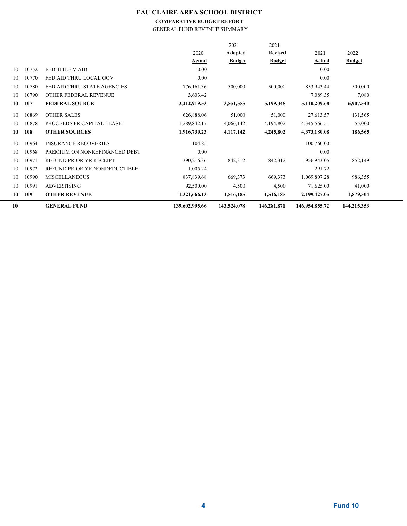## **COMPARATIVE BUDGET REPORT**

GENERAL FUND REVENUE SUMMARY

| 10 |       | <b>GENERAL FUND</b>           | 139,602,995.66 | 143,524,078    | 146,281,871    | 146,954,855.72 | 144,215,353   |  |
|----|-------|-------------------------------|----------------|----------------|----------------|----------------|---------------|--|
| 10 | 109   | <b>OTHER REVENUE</b>          | 1,321,666.13   | 1,516,185      | 1,516,185      | 2,199,427.05   | 1,879,504     |  |
| 10 | 10991 | <b>ADVERTISING</b>            | 92,500.00      | 4,500          | 4,500          | 71,625.00      | 41,000        |  |
| 10 | 10990 | <b>MISCELLANEOUS</b>          | 837,839.68     | 669,373        | 669,373        | 1,069,807.28   | 986,355       |  |
| 10 | 10972 | REFUND PRIOR YR NONDEDUCTIBLE | 1,005.24       |                |                | 291.72         |               |  |
| 10 | 10971 | REFUND PRIOR YR RECEIPT       | 390,216.36     | 842,312        | 842,312        | 956,943.05     | 852,149       |  |
| 10 | 10968 | PREMIUM ON NONREFINANCED DEBT | 0.00           |                |                | 0.00           |               |  |
| 10 | 10964 | <b>INSURANCE RECOVERIES</b>   | 104.85         |                |                | 100,760.00     |               |  |
| 10 | 108   | <b>OTHER SOURCES</b>          | 1,916,730.23   | 4,117,142      | 4,245,802      | 4,373,180.08   | 186,565       |  |
| 10 | 10878 | PROCEEDS FR CAPITAL LEASE     | 1,289,842.17   | 4,066,142      | 4,194,802      | 4,345,566.51   | 55,000        |  |
| 10 | 10869 | <b>OTHER SALES</b>            | 626,888.06     | 51,000         | 51,000         | 27,613.57      | 131,565       |  |
| 10 | 107   | <b>FEDERAL SOURCE</b>         | 3,212,919.53   | 3,551,555      | 5,199,348      | 5,110,209.68   | 6,907,540     |  |
| 10 | 10790 | OTHER FEDERAL REVENUE         | 3,603.42       |                |                | 7,089.35       | 7,080         |  |
| 10 | 10780 | FED AID THRU STATE AGENCIES   | 776,161.36     | 500,000        | 500,000        | 853,943.44     | 500,000       |  |
| 10 | 10770 | FED AID THRU LOCAL GOV        | 0.00           |                |                | 0.00           |               |  |
| 10 | 10752 | FED TITLE V AID               | 0.00           |                |                | 0.00           |               |  |
|    |       |                               | Actual         | <b>Budget</b>  | <b>Budget</b>  | Actual         | <b>Budget</b> |  |
|    |       |                               | 2020           | <b>Adopted</b> | <b>Revised</b> | 2021           | 2022          |  |
|    |       |                               |                | 2021           | 2021           |                |               |  |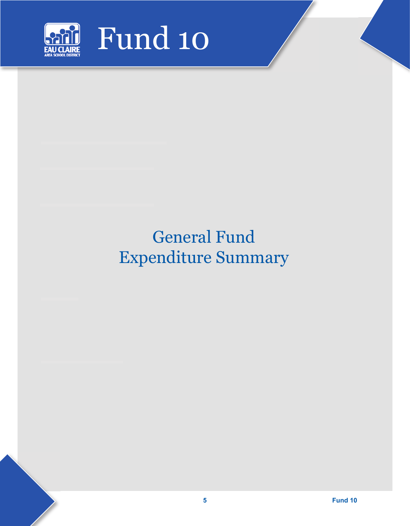

# General Fund Expenditure Summary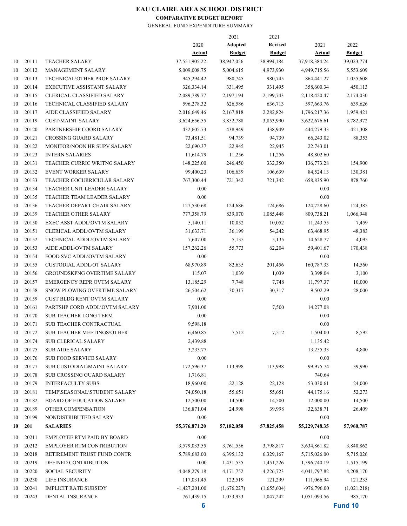#### **COMPARATIVE BUDGET REPORT**

|    |       |                                    |                 | 2021          | 2021           |               |               |
|----|-------|------------------------------------|-----------------|---------------|----------------|---------------|---------------|
|    |       |                                    | 2020            | Adopted       | <b>Revised</b> | 2021          | 2022          |
|    |       |                                    | <b>Actual</b>   | <b>Budget</b> | <b>Budget</b>  | <b>Actual</b> | <b>Budget</b> |
| 10 | 20111 | <b>TEACHER SALARY</b>              | 37,551,905.22   | 38,947,056    | 38,994,184     | 37,918,384.24 | 39,023,774    |
| 10 | 20112 | <b>MANAGEMENT SALARY</b>           | 5,009,008.75    | 5,004,615     | 4,973,930      | 4,949,715.56  | 5,553,609     |
| 10 | 20113 | TECHNICAL\OTHER PROF SALARY        | 945,294.42      | 980,745       | 980,745        | 864,441.27    | 1,055,608     |
| 10 | 20114 | <b>EXECUTIVE ASSISTANT SALARY</b>  | 326, 334. 14    | 331,495       | 331,495        | 358,600.34    | 450,113       |
| 10 | 20115 | CLERICAL CLASSIFIED SALARY         | 2,089,789.77    | 2,197,194     | 2,199,743      | 2,118,420.47  | 2,174,030     |
| 10 | 20116 | TECHNICAL CLASSIFIED SALARY        | 596,278.32      | 626,586       | 636,713        | 597,663.76    | 639,626       |
| 10 | 20117 | AIDE CLASSIFIED SALARY             | 2,016,649.46    | 2,167,818     | 2,282,824      | 1,796,217.36  | 1,959,421     |
| 10 | 20119 | <b>CUST\MAINT SALARY</b>           | 3,624,656.55    | 3,852,788     | 3,853,990      | 3,622,676.61  | 3,782,972     |
| 10 | 20120 | PARTNERSHIP COORD SALARY           | 432,605.73      | 438,949       | 438,949        | 444,279.33    | 421,308       |
| 10 | 20121 | <b>CROSSING GUARD SALARY</b>       | 73,481.51       | 94,739        | 94,739         | 66,243.02     | 88,353        |
| 10 | 20122 | MONITOR\NOON HR SUPV SALARY        | 22,690.37       | 22,945        | 22,945         | 22,743.01     |               |
| 10 | 20123 | <b>INTERN SALARIES</b>             | 11,614.79       | 11,256        | 11,256         | 48,802.60     |               |
| 10 | 20131 | TEACHER CURRIC WRITNG SALARY       | 148,225.00      | 246,450       | 332,350        | 136,773.28    | 154,900       |
| 10 | 20132 | <b>EVENT WORKER SALARY</b>         | 99,400.23       | 106,639       | 106,639        | 84,524.13     | 130,381       |
| 10 | 20133 | TEACHER COCURRICULAR SALARY        | 767,300.44      | 721,342       | 721,342        | 658,835.90    | 878,760       |
| 10 | 20134 | TEACHER UNIT LEADER SALARY         | 0.00            |               |                | 0.00          |               |
| 10 | 20135 | TEACHER TEAM LEADER SALARY         | 0.00            |               |                | 0.00          |               |
| 10 | 20136 | TEACHER DEPART CHAIR SALARY        | 127,530.68      | 124,686       | 124,686        | 124,728.60    | 124,385       |
| 10 | 20139 | TEACHER OTHER SALARY               |                 | 839,070       |                |               | 1,066,948     |
|    |       |                                    | 777,358.79      |               | 1,085,448      | 809,738.21    |               |
| 10 | 20150 | <b>EXEC ASST ADDL\OVTM SALARY</b>  | 5,140.11        | 10,052        | 10,052         | 11,243.55     | 7,459         |
| 10 | 20151 | <b>CLERICAL ADDL\OVTM SALARY</b>   | 31,633.71       | 36,199        | 54,242         | 63,468.95     | 48,383        |
| 10 | 20152 | TECHNICAL ADDL\OVTM SALARY         | 7,607.00        | 5,135         | 5,135          | 14,628.77     | 4,095         |
| 10 | 20153 | AIDE ADDL\OVTM SALARY              | 157,262.26      | 55,773        | 62,204         | 59,401.67     | 170,438       |
| 10 | 20154 | FOOD SVC ADDL\OVTM SALARY          | 0.00            |               |                | 0.00          |               |
| 10 | 20155 | <b>CUSTODIAL ADDL/OT SALARY</b>    | 68,970.89       | 82,635        | 201,456        | 160,787.33    | 14,560        |
| 10 | 20156 | <b>GROUNDSKPNG OVERTIME SALARY</b> | 115.07          | 1,039         | 1,039          | 3,398.04      | 3,100         |
| 10 | 20157 | <b>EMERGENCY REPR OVTM SALARY</b>  | 13,185.29       | 7,748         | 7,748          | 11,797.37     | 10,000        |
| 10 | 20158 | SNOW PLOWING OVERTIME SALARY       | 26,504.62       | 30,317        | 30,317         | 9,502.29      | 28,000        |
| 10 | 20159 | CUST BLDG RENT OVTM SALARY         | 0.00            |               |                | 0.00          |               |
| 10 | 20161 | PARTSHP CORD ADDL\OVTM SALARY      | 7,901.00        |               | 7,500          | 14,277.08     |               |
| 10 | 20170 | <b>SUB TEACHER LONG TERM</b>       | 0.00            |               |                | 0.00          |               |
| 10 | 20171 | SUB TEACHER CONTRACTUAL            | 9,598.18        |               |                | 0.00          |               |
| 10 | 20172 | <b>SUB TEACHER MEETINGS\OTHER</b>  | 6,460.85        | 7,512         | 7,512          | 1,504.00      | 8,592         |
| 10 | 20174 | <b>SUB CLERICAL SALARY</b>         | 2,439.88        |               |                | 1,135.42      |               |
| 10 | 20175 | <b>SUB AIDE SALARY</b>             | 3,233.77        |               |                | 13,255.33     | 4,800         |
| 10 | 20176 | SUB FOOD SERVICE SALARY            | 0.00            |               |                | 0.00          |               |
| 10 | 20177 | <b>SUB CUSTODIAL MAINT SALARY</b>  | 172,596.37      | 113,998       | 113,998        | 99,975.74     | 39,990        |
| 10 | 20178 | <b>SUB CROSSING GUARD SALARY</b>   | 1,716.81        |               |                | 740.64        |               |
| 10 | 20179 | <b>INTERFACULTY SUBS</b>           | 18,960.00       | 22,128        | 22,128         | 53,030.61     | 24,000        |
| 10 | 20181 | TEMP\SEASONAL\STUDENT SALARY       | 74,050.18       | 55,651        | 55,651         | 44,175.16     | 52,273        |
| 10 | 20182 | <b>BOARD OF EDUCATION SALARY</b>   | 12,500.00       | 14,500        | 14,500         | 12,000.00     | 14,500        |
| 10 | 20189 | OTHER COMPENSATION                 | 136,871.04      | 24,998        | 39,998         | 32,638.71     | 26,409        |
| 10 | 20199 | NONDISTRIBUTED SALARY              | 0.00            |               |                | 0.00          |               |
| 10 | 201   | <b>SALARIES</b>                    | 55,376,871.20   | 57,182,058    | 57,825,458     | 55,229,748.35 | 57,960,787    |
|    |       |                                    |                 |               |                |               |               |
| 10 | 20211 | EMPLOYEE RTM PAID BY BOARD         | 0.00            |               |                | 0.00          |               |
| 10 | 20212 | EMPLOYER RTM CONTRIBUTION          | 3,579,033.55    | 3,761,556     | 3,798,817      | 3,634,861.82  | 3,840,862     |
| 10 | 20218 | RETIREMENT TRUST FUND CONTR        | 5,789,683.00    | 6,395,132     | 6,329,167      | 5,715,026.00  | 5,715,026     |
| 10 | 20219 | DEFINED CONTRIBUTION               | 0.00            | 1,431,535     | 1,451,226      | 1,396,740.19  | 1,515,199     |
| 10 | 20220 | <b>SOCIAL SECURITY</b>             | 4,048,279.18    | 4,171,752     | 4,226,723      | 4,041,797.82  | 4,208,170     |
| 10 | 20230 | LIFE INSURANCE                     | 117,031.45      | 122,519       | 121,299        | 111,066.94    | 121,235       |
| 10 | 20241 | <b>IMPLICIT RATE SUBSIDY</b>       | $-1,427,201.00$ | (1,676,227)   | (1,655,604)    | $-976,796.00$ | (1,021,218)   |
| 10 | 20243 | DENTAL INSURANCE                   | 761,439.15      | 1,053,933     | 1,047,242      | 1,051,093.56  | 985,170       |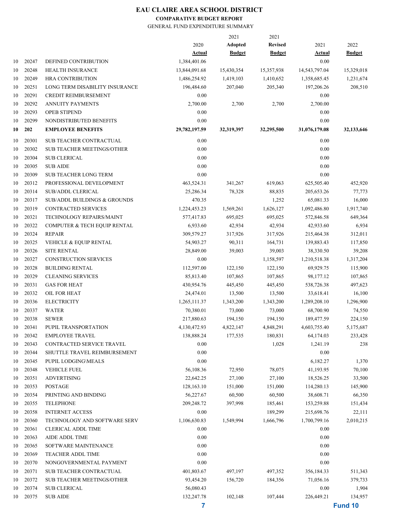#### **COMPARATIVE BUDGET REPORT**

|    |       |                                         |               | 2021          | 2021           |               |               |
|----|-------|-----------------------------------------|---------------|---------------|----------------|---------------|---------------|
|    |       |                                         | 2020          | Adopted       | <b>Revised</b> | 2021          | 2022          |
|    |       |                                         | <b>Actual</b> | <b>Budget</b> | <b>Budget</b>  | <b>Actual</b> | <b>Budget</b> |
| 10 | 20247 | DEFINED CONTRIBUTION                    | 1,384,401.06  |               |                | 0.00          |               |
| 10 | 20248 | <b>HEALTH INSURANCE</b>                 | 13,844,091.68 | 15,430,354    | 15,357,938     | 14,543,797.04 | 15,329,018    |
| 10 | 20249 | <b>HRA CONTRIBUTION</b>                 | 1,486,254.92  | 1,419,103     | 1,410,652      | 1,358,685.45  | 1,231,674     |
| 10 | 20251 | LONG TERM DISABILITY INSURANCE          | 196,484.60    | 207,040       | 205,340        | 197,206.26    | 208,510       |
| 10 | 20291 | CREDIT REIMBURSEMENT                    | 0.00          |               |                | 0.00          |               |
| 10 | 20292 | <b>ANNUITY PAYMENTS</b>                 | 2,700.00      | 2,700         | 2,700          | 2,700.00      |               |
| 10 | 20293 | OPEB STIPEND                            | 0.00          |               |                | 0.00          |               |
| 10 | 20299 | NONDISTRIBUTED BENEFITS                 | 0.00          |               |                | 0.00          |               |
| 10 | 202   | <b>EMPLOYEE BENEFITS</b>                | 29,782,197.59 | 32,319,397    | 32,295,500     | 31,076,179.08 | 32,133,646    |
| 10 | 20301 | <b>SUB TEACHER CONTRACTUAL</b>          | 0.00          |               |                | 0.00          |               |
| 10 | 20302 | SUB TEACHER MEETINGS/OTHER              | 0.00          |               |                | 0.00          |               |
| 10 | 20304 | <b>SUB CLERICAL</b>                     | 0.00          |               |                | 0.00          |               |
| 10 | 20305 | <b>SUB AIDE</b>                         | 0.00          |               |                | 0.00          |               |
| 10 | 20309 | <b>SUB TEACHER LONG TERM</b>            | 0.00          |               |                | 0.00          |               |
| 10 | 20312 | PROFESSIONAL DEVELOPMENT                | 463,524.31    | 341,267       | 619,063        | 625,505.40    | 452,920       |
| 10 | 20314 | <b>SUB/ADDL CLERICAL</b>                | 25,286.34     | 78,328        | 88,835         | 205, 653. 26  | 77,773        |
| 10 | 20317 | <b>SUB/ADDL BUILDINGS &amp; GROUNDS</b> | 470.35        |               | 1,252          | 65,081.33     | 16,000        |
| 10 | 20319 | <b>CONTRACTED SERVICES</b>              | 1,224,453.23  | 1,569,261     | 1,626,127      | 1,092,486.80  | 1,917,740     |
| 10 | 20321 | TECHNOLOGY REPAIRS/MAINT                | 577,417.83    | 695,025       | 695,025        | 572,846.58    | 649,364       |
| 10 | 20322 | COMPUTER & TECH EQUIP RENTAL            | 6,933.60      | 42,934        | 42,934         | 42,933.60     | 6,934         |
| 10 | 20324 | <b>REPAIR</b>                           | 309,579.27    | 317,926       | 317,926        | 215,464.38    | 312,011       |
| 10 | 20325 | VEHICLE & EQUIP RENTAL                  | 54,903.27     | 90,311        | 164,731        | 139,883.43    | 117,850       |
| 10 | 20326 | <b>SITE RENTAL</b>                      | 28,849.00     | 39,003        | 39,003         | 38,330.50     | 39,208        |
| 10 | 20327 | <b>CONSTRUCTION SERVICES</b>            | 0.00          |               | 1,158,597      | 1,210,518.38  | 1,317,204     |
| 10 | 20328 | <b>BUILDING RENTAL</b>                  | 112,597.00    | 122,150       | 122,150        | 69,929.75     | 115,900       |
| 10 | 20329 | <b>CLEANING SERVICES</b>                | 85,813.40     | 107,865       | 107,865        | 98,177.12     | 107,865       |
| 10 | 20331 | <b>GAS FOR HEAT</b>                     | 430,954.76    | 445,450       | 445,450        | 538,726.38    | 497,623       |
| 10 | 20332 | OIL FOR HEAT                            | 24,474.01     | 13,500        | 13,500         | 33,618.41     | 16,100        |
| 10 | 20336 | <b>ELECTRICITY</b>                      | 1,265,111.37  | 1,343,200     | 1,343,200      | 1,289,208.10  | 1,296,900     |
| 10 | 20337 | <b>WATER</b>                            | 70,380.01     | 73,000        | 73,000         | 68,700.90     | 74,550        |
| 10 | 20338 | <b>SEWER</b>                            | 217,880.63    | 194,150       | 194,150        | 189,477.59    | 224,150       |
| 10 | 20341 | PUPIL TRANSPORTATION                    | 4,130,472.93  | 4,822,147     | 4,848,291      | 4,603,755.40  | 5,175,687     |
| 10 | 20342 | <b>EMPLOYEE TRAVEL</b>                  | 138,888.24    | 177,535       | 180,831        | 64,174.03     | 233,428       |
| 10 | 20343 | CONTRACTED SERVICE TRAVEL               | 0.00          |               | 1,028          | 1,241.19      | 238           |
| 10 | 20344 | SHUTTLE TRAVEL REIMBURSEMENT            | 0.00          |               |                | 0.00          |               |
| 10 | 20345 | PUPIL LODGING\MEALS                     | $0.00\,$      |               |                | 6,182.27      | 1,370         |
|    | 20348 | <b>VEHICLE FUEL</b>                     | 56,108.36     | 72,950        | 78,075         | 41,193.95     | 70,100        |
| 10 | 20351 |                                         |               |               |                |               |               |
| 10 |       | <b>ADVERTISING</b>                      | 22,642.25     | 27,100        | 27,100         | 18,526.25     | 33,500        |
| 10 | 20353 | POSTAGE                                 | 128,163.10    | 151,000       | 151,000        | 114,280.13    | 145,900       |
| 10 | 20354 | PRINTING AND BINDING                    | 56,227.67     | 60,500        | 60,500         | 38,608.71     | 66,350        |
| 10 | 20355 | <b>TELEPHONE</b>                        | 209,248.72    | 397,998       | 185,461        | 153,259.88    | 151,434       |
| 10 | 20358 | <b>INTERNET ACCESS</b>                  | 0.00          |               | 189,299        | 215,698.76    | 22,111        |
| 10 | 20360 | TECHNOLOGY AND SOFTWARE SERV            | 1,106,630.83  | 1,549,994     | 1,666,796      | 1,700,799.16  | 2,010,215     |
| 10 | 20361 | CLERICAL ADDL TIME                      | 0.00          |               |                | 0.00          |               |
| 10 | 20363 | AIDE ADDL TIME                          | 0.00          |               |                | 0.00          |               |
| 10 | 20365 | SOFTWARE MAINTENANCE                    | 0.00          |               |                | 0.00          |               |
| 10 | 20369 | TEACHER ADDL TIME                       | 0.00          |               |                | 0.00          |               |
| 10 | 20370 | NONGOVERNMENTAL PAYMENT                 | 0.00          |               |                | 0.00          |               |
| 10 | 20371 | SUB TEACHER CONTRACTUAL                 | 401,803.67    | 497,197       | 497,352        | 356,184.33    | 511,343       |
| 10 | 20372 | <b>SUB TEACHER MEETINGS/OTHER</b>       | 93,454.20     | 156,720       | 184,356        | 71,056.16     | 379,733       |
| 10 | 20374 | <b>SUB CLERICAL</b>                     | 56,080.43     |               |                | 0.00          | 1,904         |
| 10 | 20375 | <b>SUB AIDE</b>                         | 132,247.78    | 102,148       | 107,444        | 226,449.21    | 134,957       |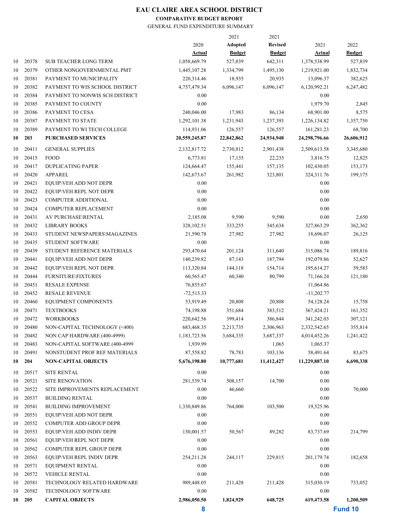#### **COMPARATIVE BUDGET REPORT**

|    |        |                                |               | 2021           | 2021                   |               |               |
|----|--------|--------------------------------|---------------|----------------|------------------------|---------------|---------------|
|    |        |                                | 2020          | <b>Adopted</b> | <b>Revised</b>         | 2021          | 2022          |
|    |        |                                | <b>Actual</b> | <b>Budget</b>  | <b>Budget</b>          | <b>Actual</b> | <b>Budget</b> |
| 10 | 20378  | <b>SUB TEACHER LONG TERM</b>   | 1,058,669.79  | 527,839        | 642,311                | 1,378,538.99  | 527,839       |
| 10 | 20379  | OTHER NONGOVERNMENTAL PMT      | 1,445,107.28  | 1,334,799      | 1,495,130              | 1,219,921.00  | 1,832,734     |
| 10 | 20381  | PAYMENT TO MUNICIPALITY        | 220,314.46    | 18,935         | 20,935                 | 13,096.37     | 382,625       |
| 10 | 20382  | PAYMENT TO WIS SCHOOL DISTRICT | 4,757,479.34  | 6,096,147      | 6,096,147              | 6,120,992.21  | 6,247,482     |
| 10 | 20384  | PAYMENT TO NONWIS SCH DISTRICT | 0.00          |                |                        | 0.00          |               |
| 10 | 20385  | PAYMENT TO COUNTY              | 0.00          |                |                        | 1,979.70      | 2,845         |
| 10 | 20386  | PAYMENT TO CESA                | 240,046.00    | 17,983         | 86,134                 | 68,901.00     | 8,575         |
| 10 | 20387  | PAYMENT TO STATE               | 1,292,101.38  | 1,231,943      | 1,237,393              | 1,226,134.82  | 1,357,750     |
| 10 | 20389  | PAYMENT TO WI TECH COLLEGE     | 114,931.06    | 126,557        | 126,557                | 161,281.23    | 68,700        |
| 10 | 203    | <b>PURCHASED SERVICES</b>      | 20,559,245.87 | 22,842,862     | 24,934,948             | 24,298,796.66 | 26,606,912    |
| 10 | 20411  | <b>GENERAL SUPPLIES</b>        | 2,132,817.72  | 2,730,812      | 2,901,438              | 2,509,613.58  | 3,345,680     |
| 10 | 20415  | <b>FOOD</b>                    | 6,773.81      | 17,135         | 22,235                 | 3,816.75      | 12,825        |
| 10 | 20417  | <b>DUPLICATING PAPER</b>       | 124,664.47    | 155,441        | 157,135                | 102,430.05    | 153,173       |
| 10 | 20420  | APPAREL                        | 142,673.67    | 261,982        | 323,801                | 324, 311.76   | 199,175       |
| 10 | 20421  | <b>EQUIP\VEH ADD NOT DEPR</b>  | 0.00          |                |                        | 0.00          |               |
| 10 | 20422  | EQUIP\VEH REPL NOT DEPR        | 0.00          |                |                        | 0.00          |               |
| 10 | 20423  | COMPUTER ADDITIONAL            | 0.00          |                |                        | 0.00          |               |
| 10 | 20424  | <b>COMPUTER REPLACEMENT</b>    | 0.00          |                |                        | 0.00          |               |
| 10 | 20431  | AV PURCHASE\RENTAL             | 2,185.08      | 9,590          | 9,590                  | 0.00          | 2,650         |
| 10 | 20432  | <b>LIBRARY BOOKS</b>           | 328, 102.51   | 333,255        | 345,634                | 327,863.29    | 362,362       |
| 10 | 20433  | STUDENT NEWSPAPERS\MAGAZINES   | 21,590.78     | 27,982         | 27,982                 | 18,696.07     | 26,125        |
| 10 | 20435  | <b>STUDENT SOFTWARE</b>        | 0.00          |                |                        | 0.00          |               |
| 10 | 20439  | STUDENT REFERENCE MATERIALS    | 293,470.64    | 201,124        | 311,640                | 315,086.74    | 189,816       |
| 10 | 20441  | EQUIP\VEH ADD NOT DEPR         | 140,239.82    | 87,143         | 187,794                | 192,079.86    | 52,627        |
| 10 | 20442  | EQUIP\VEH REPL NOT DEPR        | 113,320.84    | 144,118        | 154,714                | 195,614.27    | 59,583        |
| 10 | 20444  | <b>FURNITURE\FIXTURES</b>      | 60,565.47     | 60,340         | 80,799                 | 71,166.24     | 121,180       |
| 10 | 20451  | <b>RESALE EXPENSE</b>          | 76,855.67     |                |                        | 11,064.86     |               |
| 10 | 20452  | <b>RESALE REVENUE</b>          | $-72,513.33$  |                |                        | $-11,202.77$  |               |
| 10 | 20460  | EQUIPMENT COMPONENTS           | 53,919.49     | 20,808         | 20,808                 | 54,128.24     | 15,758        |
| 10 | 20471  | <b>TEXTBOOKS</b>               | 74,198.88     | 351,684        | 383,512                | 367,424.21    | 161,352       |
| 10 | 20472  | <b>WORKBOOKS</b>               | 220,642.56    | 399,414        | 386,844                | 341,242.03    | 307,121       |
| 10 | 20480  |                                | 683,468.35    | 2,213,735      |                        |               |               |
|    | 20482  | NON-CAPITAL TECHNOLOGY (<400)  | 1,183,723.56  |                | 2,306,963<br>3,687,337 | 2,332,542.65  | 355,814       |
| 10 |        | NON CAP HARDWARE (400-4999)    |               | 3,684,335      |                        | 4,014,452.26  | 1,241,422     |
| 10 | 20483  | NON-CAPITAL SOFTWARE (400-4999 | 1,939.99      |                | 1,065                  | 1,065.37      |               |
| 10 | 20491  | NONSTUDENT PROF REF MATERIALS  | 87,558.82     | 78,783         | 103,136                | 58,491.64     | 83,675        |
| 10 | 204    | <b>NON-CAPITAL OBJECTS</b>     | 5,676,198.80  | 10,777,681     | 11,412,427             | 11,229,887.10 | 6,690,338     |
| 10 | 20517  | <b>SITE RENTAL</b>             | 0.00          |                |                        | 0.00          |               |
| 10 | 20521  | <b>SITE RENOVATION</b>         | 281,539.74    | 508,157        | 14,700                 | 0.00          |               |
| 10 | 20522  | SITE IMPROVEMENTS REPLACEMENT  | 0.00          | 46,660         |                        | 0.00          | 70,000        |
| 10 | 20537  | <b>BUILDING RENTAL</b>         | 0.00          |                |                        | 0.00          |               |
| 10 | 20541  | <b>BUILDING IMPROVEMENT</b>    | 1,330,849.86  | 764,000        | 103,500                | 19,525.96     |               |
| 10 | 20551  | EQUIP\VEH ADD NOT DEPR         | 0.00          |                |                        | 0.00          |               |
| 10 | 20552  | COMPUTER ADD GROUP DEPR        | 0.00          |                |                        | 0.00          |               |
| 10 | 20553  | EQUIP\VEH ADD INDIV DEPR       | 130,001.57    | 50,567         | 89,282                 | 83,737.69     | 214,799       |
| 10 | 20561  | EQUIP\VEH REPL NOT DEPR        | 0.00          |                |                        | 0.00          |               |
| 10 | 20562  | COMPUTER REPL GROUP DEPR       | 0.00          |                |                        | 0.00          |               |
| 10 | 20563  | EQUIP\VEH REPL INDIV DEPR      | 254,211.28    | 244,117        | 229,815                | 201,179.74    | 182,658       |
| 10 | 20571  | <b>EQUIPMENT RENTAL</b>        | 0.00          |                |                        | 0.00          |               |
| 10 | 20572  | <b>VEHICLE RENTAL</b>          | 0.00          |                |                        | 0.00          |               |
| 10 | 20581  | TECHNOLOGY RELATED HARDWARE    | 989,448.05    | 211,428        | 211,428                | 315,030.19    | 733,052       |
| 10 | 20582  | TECHNOLOGY SOFTWARE            | 0.00          |                |                        | 0.00          |               |
|    | 10 205 | <b>CAPITAL OBJECTS</b>         | 2,986,050.50  | 1,824,929      | 648,725                | 619,473.58    | 1,200,509     |